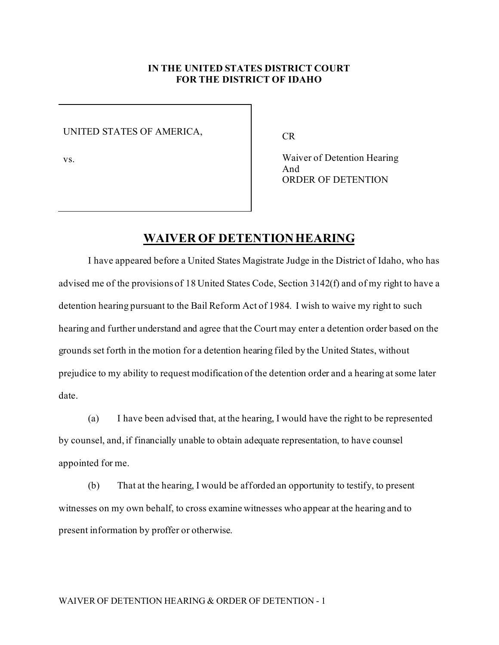## **IN THE UNITED STATES DISTRICT COURT FOR THE DISTRICT OF IDAHO**

UNITED STATES OF AMERICA,

vs.

CR

Waiver of Detention Hearing And ORDER OF DETENTION

## **WAIVER OF DETENTION HEARING**

I have appeared before a United States Magistrate Judge in the District of Idaho, who has advised me of the provisions of 18 United States Code, Section 3142(f) and of my right to have a detention hearing pursuant to the Bail Reform Act of 1984. I wish to waive my right to such hearing and further understand and agree that the Court may enter a detention order based on the grounds set forth in the motion for a detention hearing filed by the United States, without prejudice to my ability to request modification of the detention order and a hearing at some later date.

(a) I have been advised that, at the hearing, I would have the right to be represented by counsel, and, if financially unable to obtain adequate representation, to have counsel appointed for me.

(b) That at the hearing, I would be afforded an opportunity to testify, to present witnesses on my own behalf, to cross examine witnesses who appear at the hearing and to present information by proffer or otherwise.

## WAIVER OF DETENTION HEARING & ORDER OF DETENTION - 1